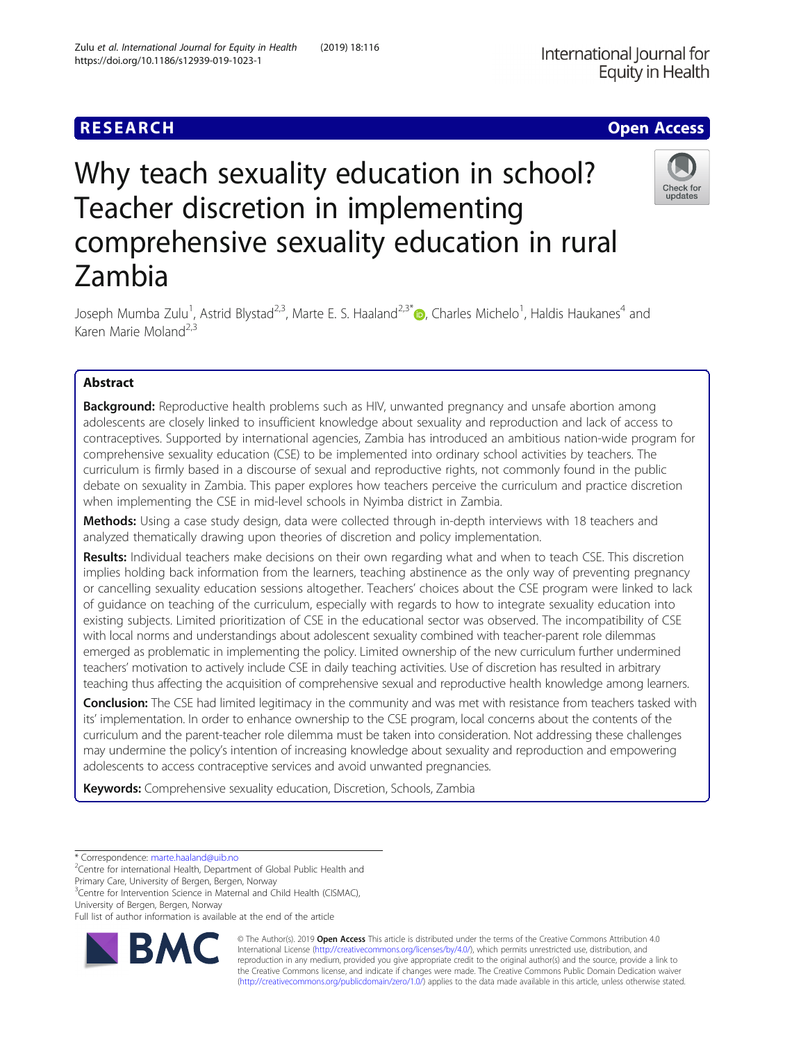# **RESEARCH CHE Open Access**

# Why teach sexuality education in school? Teacher discretion in implementing comprehensive sexuality education in rural Zambia

Joseph Mumba Zulu<sup>1</sup>[,](http://orcid.org/0000-0001-8253-2841) Astrid Blystad<sup>2,3</sup>, Marte E. S. Haaland<sup>2,3\*</sup>®, Charles Michelo<sup>1</sup>, Haldis Haukanes<sup>4</sup> and Karen Marie Moland2,3

# Abstract

**Background:** Reproductive health problems such as HIV, unwanted pregnancy and unsafe abortion among adolescents are closely linked to insufficient knowledge about sexuality and reproduction and lack of access to contraceptives. Supported by international agencies, Zambia has introduced an ambitious nation-wide program for comprehensive sexuality education (CSE) to be implemented into ordinary school activities by teachers. The curriculum is firmly based in a discourse of sexual and reproductive rights, not commonly found in the public debate on sexuality in Zambia. This paper explores how teachers perceive the curriculum and practice discretion when implementing the CSE in mid-level schools in Nyimba district in Zambia.

Methods: Using a case study design, data were collected through in-depth interviews with 18 teachers and analyzed thematically drawing upon theories of discretion and policy implementation.

Results: Individual teachers make decisions on their own regarding what and when to teach CSE. This discretion implies holding back information from the learners, teaching abstinence as the only way of preventing pregnancy or cancelling sexuality education sessions altogether. Teachers' choices about the CSE program were linked to lack of guidance on teaching of the curriculum, especially with regards to how to integrate sexuality education into existing subjects. Limited prioritization of CSE in the educational sector was observed. The incompatibility of CSE with local norms and understandings about adolescent sexuality combined with teacher-parent role dilemmas emerged as problematic in implementing the policy. Limited ownership of the new curriculum further undermined teachers' motivation to actively include CSE in daily teaching activities. Use of discretion has resulted in arbitrary teaching thus affecting the acquisition of comprehensive sexual and reproductive health knowledge among learners.

Conclusion: The CSE had limited legitimacy in the community and was met with resistance from teachers tasked with its' implementation. In order to enhance ownership to the CSE program, local concerns about the contents of the curriculum and the parent-teacher role dilemma must be taken into consideration. Not addressing these challenges may undermine the policy's intention of increasing knowledge about sexuality and reproduction and empowering adolescents to access contraceptive services and avoid unwanted pregnancies.

Keywords: Comprehensive sexuality education, Discretion, Schools, Zambia

\* Correspondence: [marte.haaland@uib.no](mailto:marte.haaland@uib.no) <sup>2</sup>

R,

<sup>2</sup> Centre for international Health, Department of Global Public Health and

Primary Care, University of Bergen, Bergen, Norway

<sup>3</sup>Centre for Intervention Science in Maternal and Child Health (CISMAC), University of Bergen, Bergen, Norway

© The Author(s). 2019 **Open Access** This article is distributed under the terms of the Creative Commons Attribution 4.0 International License [\(http://creativecommons.org/licenses/by/4.0/](http://creativecommons.org/licenses/by/4.0/)), which permits unrestricted use, distribution, and reproduction in any medium, provided you give appropriate credit to the original author(s) and the source, provide a link to the Creative Commons license, and indicate if changes were made. The Creative Commons Public Domain Dedication waiver [\(http://creativecommons.org/publicdomain/zero/1.0/](http://creativecommons.org/publicdomain/zero/1.0/)) applies to the data made available in this article, unless otherwise stated.

Zulu et al. International Journal for Equity in Health (2019) 18:116





Full list of author information is available at the end of the article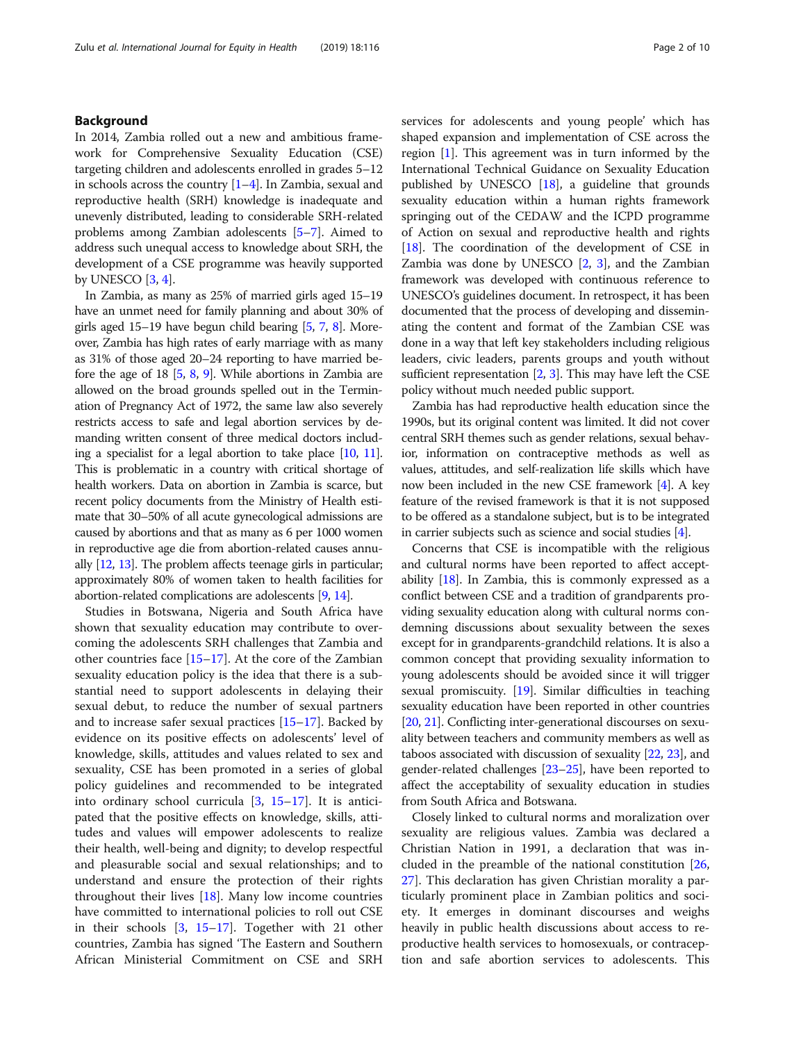## Background

In 2014, Zambia rolled out a new and ambitious framework for Comprehensive Sexuality Education (CSE) targeting children and adolescents enrolled in grades 5–12 in schools across the country [[1](#page-8-0)–[4](#page-9-0)]. In Zambia, sexual and reproductive health (SRH) knowledge is inadequate and unevenly distributed, leading to considerable SRH-related problems among Zambian adolescents [\[5](#page-9-0)–[7\]](#page-9-0). Aimed to address such unequal access to knowledge about SRH, the development of a CSE programme was heavily supported by UNESCO  $[3, 4]$  $[3, 4]$  $[3, 4]$ .

In Zambia, as many as 25% of married girls aged 15–19 have an unmet need for family planning and about 30% of girls aged 15–19 have begun child bearing [\[5,](#page-9-0) [7](#page-9-0), [8](#page-9-0)]. Moreover, Zambia has high rates of early marriage with as many as 31% of those aged 20–24 reporting to have married before the age of 18 [\[5,](#page-9-0) [8,](#page-9-0) [9\]](#page-9-0). While abortions in Zambia are allowed on the broad grounds spelled out in the Termination of Pregnancy Act of 1972, the same law also severely restricts access to safe and legal abortion services by demanding written consent of three medical doctors including a specialist for a legal abortion to take place  $[10, 11]$  $[10, 11]$  $[10, 11]$  $[10, 11]$  $[10, 11]$ . This is problematic in a country with critical shortage of health workers. Data on abortion in Zambia is scarce, but recent policy documents from the Ministry of Health estimate that 30–50% of all acute gynecological admissions are caused by abortions and that as many as 6 per 1000 women in reproductive age die from abortion-related causes annually [[12](#page-9-0), [13](#page-9-0)]. The problem affects teenage girls in particular; approximately 80% of women taken to health facilities for abortion-related complications are adolescents [\[9,](#page-9-0) [14\]](#page-9-0).

Studies in Botswana, Nigeria and South Africa have shown that sexuality education may contribute to overcoming the adolescents SRH challenges that Zambia and other countries face [\[15](#page-9-0)–[17\]](#page-9-0). At the core of the Zambian sexuality education policy is the idea that there is a substantial need to support adolescents in delaying their sexual debut, to reduce the number of sexual partners and to increase safer sexual practices [[15](#page-9-0)–[17](#page-9-0)]. Backed by evidence on its positive effects on adolescents' level of knowledge, skills, attitudes and values related to sex and sexuality, CSE has been promoted in a series of global policy guidelines and recommended to be integrated into ordinary school curricula  $\left[3, 15-17\right]$  $\left[3, 15-17\right]$  $\left[3, 15-17\right]$  $\left[3, 15-17\right]$  $\left[3, 15-17\right]$  $\left[3, 15-17\right]$  $\left[3, 15-17\right]$ . It is anticipated that the positive effects on knowledge, skills, attitudes and values will empower adolescents to realize their health, well-being and dignity; to develop respectful and pleasurable social and sexual relationships; and to understand and ensure the protection of their rights throughout their lives [\[18](#page-9-0)]. Many low income countries have committed to international policies to roll out CSE in their schools [\[3](#page-9-0), [15](#page-9-0)–[17](#page-9-0)]. Together with 21 other countries, Zambia has signed 'The Eastern and Southern African Ministerial Commitment on CSE and SRH services for adolescents and young people' which has shaped expansion and implementation of CSE across the region [\[1](#page-8-0)]. This agreement was in turn informed by the International Technical Guidance on Sexuality Education published by UNESCO [\[18\]](#page-9-0), a guideline that grounds sexuality education within a human rights framework springing out of the CEDAW and the ICPD programme of Action on sexual and reproductive health and rights [[18](#page-9-0)]. The coordination of the development of CSE in Zambia was done by UNESCO [\[2,](#page-9-0) [3\]](#page-9-0), and the Zambian framework was developed with continuous reference to UNESCO's guidelines document. In retrospect, it has been documented that the process of developing and disseminating the content and format of the Zambian CSE was done in a way that left key stakeholders including religious leaders, civic leaders, parents groups and youth without sufficient representation  $[2, 3]$  $[2, 3]$  $[2, 3]$ . This may have left the CSE policy without much needed public support.

Zambia has had reproductive health education since the 1990s, but its original content was limited. It did not cover central SRH themes such as gender relations, sexual behavior, information on contraceptive methods as well as values, attitudes, and self-realization life skills which have now been included in the new CSE framework [[4](#page-9-0)]. A key feature of the revised framework is that it is not supposed to be offered as a standalone subject, but is to be integrated in carrier subjects such as science and social studies [[4](#page-9-0)].

Concerns that CSE is incompatible with the religious and cultural norms have been reported to affect acceptability [[18\]](#page-9-0). In Zambia, this is commonly expressed as a conflict between CSE and a tradition of grandparents providing sexuality education along with cultural norms condemning discussions about sexuality between the sexes except for in grandparents-grandchild relations. It is also a common concept that providing sexuality information to young adolescents should be avoided since it will trigger sexual promiscuity. [\[19\]](#page-9-0). Similar difficulties in teaching sexuality education have been reported in other countries [[20](#page-9-0), [21\]](#page-9-0). Conflicting inter-generational discourses on sexuality between teachers and community members as well as taboos associated with discussion of sexuality [[22](#page-9-0), [23\]](#page-9-0), and gender-related challenges [\[23](#page-9-0)–[25](#page-9-0)], have been reported to affect the acceptability of sexuality education in studies from South Africa and Botswana.

Closely linked to cultural norms and moralization over sexuality are religious values. Zambia was declared a Christian Nation in 1991, a declaration that was included in the preamble of the national constitution  $[26,$  $[26,$  $[26,$ [27\]](#page-9-0). This declaration has given Christian morality a particularly prominent place in Zambian politics and society. It emerges in dominant discourses and weighs heavily in public health discussions about access to reproductive health services to homosexuals, or contraception and safe abortion services to adolescents. This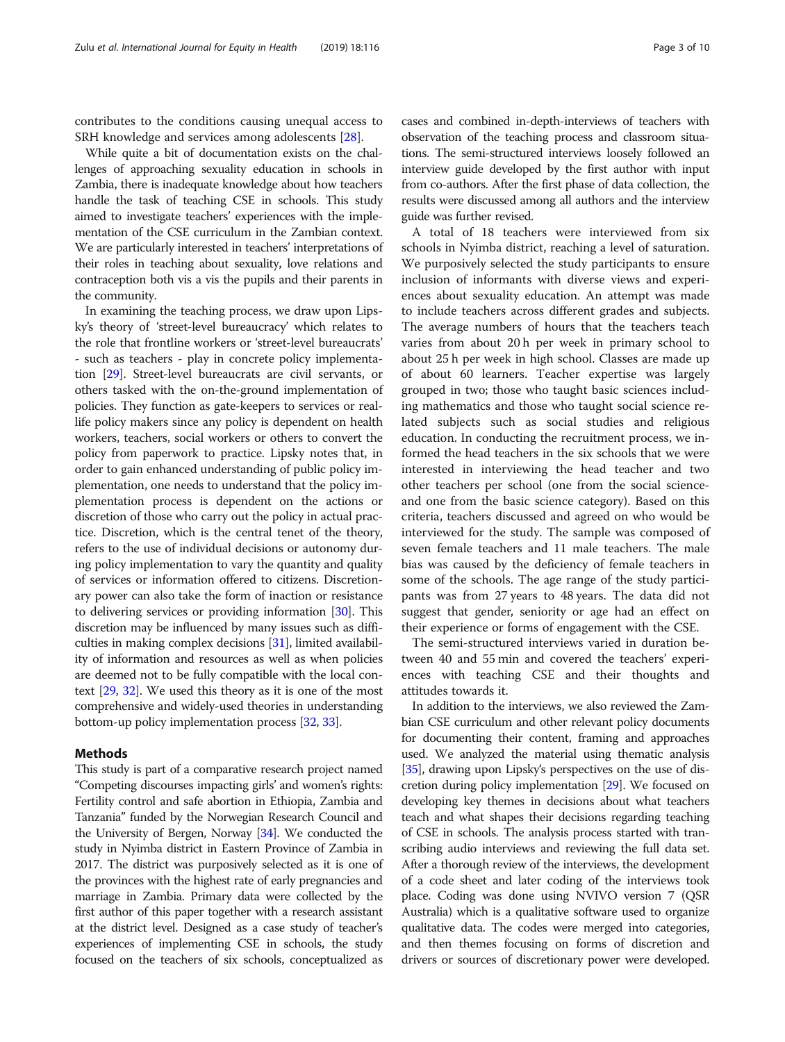contributes to the conditions causing unequal access to SRH knowledge and services among adolescents [\[28\]](#page-9-0).

While quite a bit of documentation exists on the challenges of approaching sexuality education in schools in Zambia, there is inadequate knowledge about how teachers handle the task of teaching CSE in schools. This study aimed to investigate teachers' experiences with the implementation of the CSE curriculum in the Zambian context. We are particularly interested in teachers' interpretations of their roles in teaching about sexuality, love relations and contraception both vis a vis the pupils and their parents in the community.

In examining the teaching process, we draw upon Lipsky's theory of 'street-level bureaucracy' which relates to the role that frontline workers or 'street-level bureaucrats' - such as teachers - play in concrete policy implementation [[29\]](#page-9-0). Street-level bureaucrats are civil servants, or others tasked with the on-the-ground implementation of policies. They function as gate-keepers to services or reallife policy makers since any policy is dependent on health workers, teachers, social workers or others to convert the policy from paperwork to practice. Lipsky notes that, in order to gain enhanced understanding of public policy implementation, one needs to understand that the policy implementation process is dependent on the actions or discretion of those who carry out the policy in actual practice. Discretion, which is the central tenet of the theory, refers to the use of individual decisions or autonomy during policy implementation to vary the quantity and quality of services or information offered to citizens. Discretionary power can also take the form of inaction or resistance to delivering services or providing information [\[30\]](#page-9-0). This discretion may be influenced by many issues such as difficulties in making complex decisions [[31](#page-9-0)], limited availability of information and resources as well as when policies are deemed not to be fully compatible with the local context [\[29,](#page-9-0) [32\]](#page-9-0). We used this theory as it is one of the most comprehensive and widely-used theories in understanding bottom-up policy implementation process [\[32](#page-9-0), [33](#page-9-0)].

## Methods

This study is part of a comparative research project named "Competing discourses impacting girls' and women's rights: Fertility control and safe abortion in Ethiopia, Zambia and Tanzania" funded by the Norwegian Research Council and the University of Bergen, Norway [[34](#page-9-0)]. We conducted the study in Nyimba district in Eastern Province of Zambia in 2017. The district was purposively selected as it is one of the provinces with the highest rate of early pregnancies and marriage in Zambia. Primary data were collected by the first author of this paper together with a research assistant at the district level. Designed as a case study of teacher's experiences of implementing CSE in schools, the study focused on the teachers of six schools, conceptualized as cases and combined in-depth-interviews of teachers with observation of the teaching process and classroom situations. The semi-structured interviews loosely followed an interview guide developed by the first author with input from co-authors. After the first phase of data collection, the results were discussed among all authors and the interview guide was further revised.

A total of 18 teachers were interviewed from six schools in Nyimba district, reaching a level of saturation. We purposively selected the study participants to ensure inclusion of informants with diverse views and experiences about sexuality education. An attempt was made to include teachers across different grades and subjects. The average numbers of hours that the teachers teach varies from about 20 h per week in primary school to about 25 h per week in high school. Classes are made up of about 60 learners. Teacher expertise was largely grouped in two; those who taught basic sciences including mathematics and those who taught social science related subjects such as social studies and religious education. In conducting the recruitment process, we informed the head teachers in the six schools that we were interested in interviewing the head teacher and two other teachers per school (one from the social scienceand one from the basic science category). Based on this criteria, teachers discussed and agreed on who would be interviewed for the study. The sample was composed of seven female teachers and 11 male teachers. The male bias was caused by the deficiency of female teachers in some of the schools. The age range of the study participants was from 27 years to 48 years. The data did not suggest that gender, seniority or age had an effect on their experience or forms of engagement with the CSE.

The semi-structured interviews varied in duration between 40 and 55 min and covered the teachers' experiences with teaching CSE and their thoughts and attitudes towards it.

In addition to the interviews, we also reviewed the Zambian CSE curriculum and other relevant policy documents for documenting their content, framing and approaches used. We analyzed the material using thematic analysis [[35](#page-9-0)], drawing upon Lipsky's perspectives on the use of discretion during policy implementation [\[29\]](#page-9-0). We focused on developing key themes in decisions about what teachers teach and what shapes their decisions regarding teaching of CSE in schools. The analysis process started with transcribing audio interviews and reviewing the full data set. After a thorough review of the interviews, the development of a code sheet and later coding of the interviews took place. Coding was done using NVIVO version 7 (QSR Australia) which is a qualitative software used to organize qualitative data. The codes were merged into categories, and then themes focusing on forms of discretion and drivers or sources of discretionary power were developed.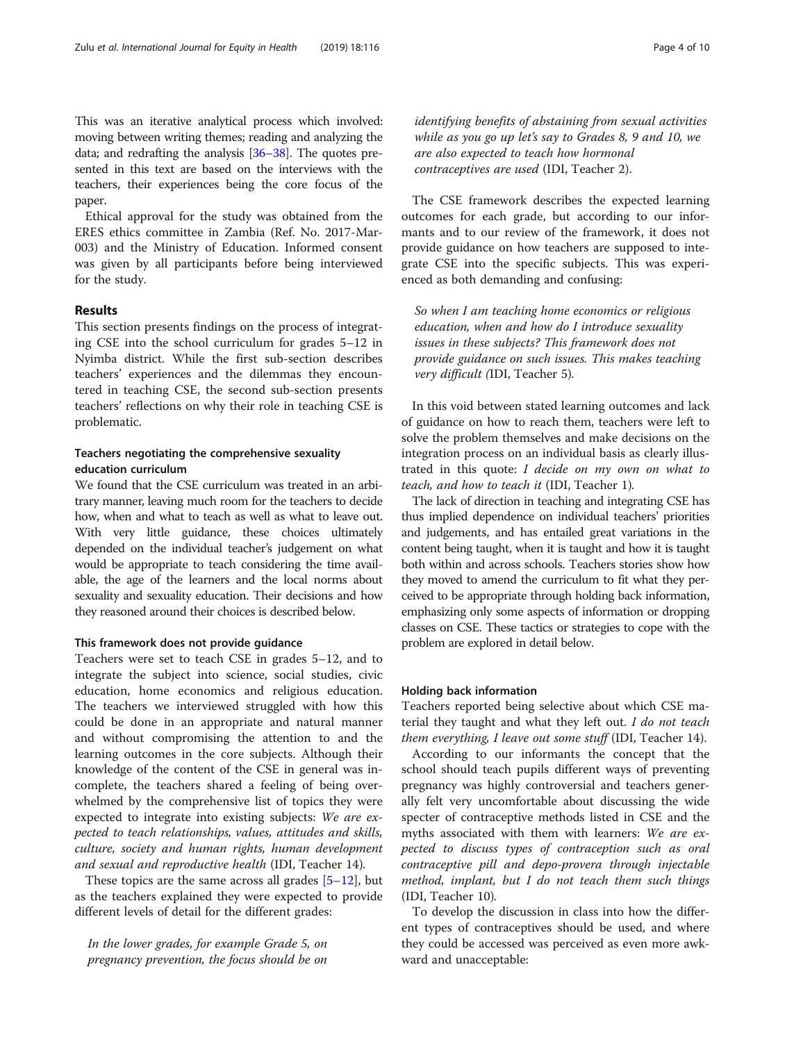This was an iterative analytical process which involved: moving between writing themes; reading and analyzing the data; and redrafting the analysis [[36](#page-9-0)–[38\]](#page-9-0). The quotes presented in this text are based on the interviews with the teachers, their experiences being the core focus of the paper.

Ethical approval for the study was obtained from the ERES ethics committee in Zambia (Ref. No. 2017-Mar-003) and the Ministry of Education. Informed consent was given by all participants before being interviewed for the study.

## Results

This section presents findings on the process of integrating CSE into the school curriculum for grades 5–12 in Nyimba district. While the first sub-section describes teachers' experiences and the dilemmas they encountered in teaching CSE, the second sub-section presents teachers' reflections on why their role in teaching CSE is problematic.

# Teachers negotiating the comprehensive sexuality education curriculum

We found that the CSE curriculum was treated in an arbitrary manner, leaving much room for the teachers to decide how, when and what to teach as well as what to leave out. With very little guidance, these choices ultimately depended on the individual teacher's judgement on what would be appropriate to teach considering the time available, the age of the learners and the local norms about sexuality and sexuality education. Their decisions and how they reasoned around their choices is described below.

#### This framework does not provide guidance

Teachers were set to teach CSE in grades 5–12, and to integrate the subject into science, social studies, civic education, home economics and religious education. The teachers we interviewed struggled with how this could be done in an appropriate and natural manner and without compromising the attention to and the learning outcomes in the core subjects. Although their knowledge of the content of the CSE in general was incomplete, the teachers shared a feeling of being overwhelmed by the comprehensive list of topics they were expected to integrate into existing subjects: We are expected to teach relationships, values, attitudes and skills, culture, society and human rights, human development and sexual and reproductive health (IDI, Teacher 14).

These topics are the same across all grades  $[5-12]$  $[5-12]$  $[5-12]$  $[5-12]$ , but as the teachers explained they were expected to provide different levels of detail for the different grades:

In the lower grades, for example Grade 5, on pregnancy prevention, the focus should be on identifying benefits of abstaining from sexual activities while as you go up let's say to Grades 8, 9 and 10, we are also expected to teach how hormonal contraceptives are used (IDI, Teacher 2).

The CSE framework describes the expected learning outcomes for each grade, but according to our informants and to our review of the framework, it does not provide guidance on how teachers are supposed to integrate CSE into the specific subjects. This was experienced as both demanding and confusing:

So when I am teaching home economics or religious education, when and how do I introduce sexuality issues in these subjects? This framework does not provide guidance on such issues. This makes teaching very difficult (IDI, Teacher 5).

In this void between stated learning outcomes and lack of guidance on how to reach them, teachers were left to solve the problem themselves and make decisions on the integration process on an individual basis as clearly illustrated in this quote: I decide on my own on what to teach, and how to teach it (IDI, Teacher 1).

The lack of direction in teaching and integrating CSE has thus implied dependence on individual teachers' priorities and judgements, and has entailed great variations in the content being taught, when it is taught and how it is taught both within and across schools. Teachers stories show how they moved to amend the curriculum to fit what they perceived to be appropriate through holding back information, emphasizing only some aspects of information or dropping classes on CSE. These tactics or strategies to cope with the problem are explored in detail below.

#### Holding back information

Teachers reported being selective about which CSE material they taught and what they left out. I do not teach them everything, I leave out some stuff (IDI, Teacher 14).

According to our informants the concept that the school should teach pupils different ways of preventing pregnancy was highly controversial and teachers generally felt very uncomfortable about discussing the wide specter of contraceptive methods listed in CSE and the myths associated with them with learners: We are expected to discuss types of contraception such as oral contraceptive pill and depo-provera through injectable method, implant, but I do not teach them such things (IDI, Teacher 10).

To develop the discussion in class into how the different types of contraceptives should be used, and where they could be accessed was perceived as even more awkward and unacceptable: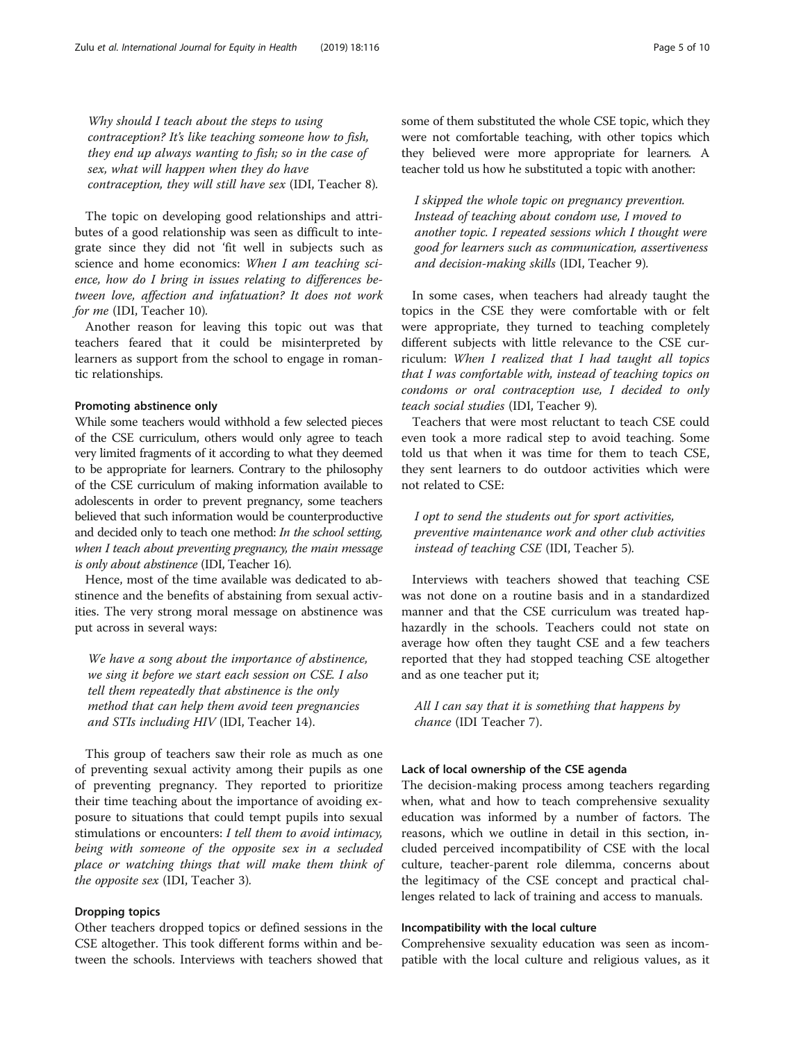Why should I teach about the steps to using contraception? It's like teaching someone how to fish, they end up always wanting to fish; so in the case of sex, what will happen when they do have contraception, they will still have sex (IDI, Teacher 8).

The topic on developing good relationships and attributes of a good relationship was seen as difficult to integrate since they did not 'fit well in subjects such as science and home economics: When I am teaching science, how do I bring in issues relating to differences between love, affection and infatuation? It does not work for me (IDI, Teacher 10).

Another reason for leaving this topic out was that teachers feared that it could be misinterpreted by learners as support from the school to engage in romantic relationships.

#### Promoting abstinence only

While some teachers would withhold a few selected pieces of the CSE curriculum, others would only agree to teach very limited fragments of it according to what they deemed to be appropriate for learners. Contrary to the philosophy of the CSE curriculum of making information available to adolescents in order to prevent pregnancy, some teachers believed that such information would be counterproductive and decided only to teach one method: In the school setting, when I teach about preventing pregnancy, the main message is only about abstinence (IDI, Teacher 16).

Hence, most of the time available was dedicated to abstinence and the benefits of abstaining from sexual activities. The very strong moral message on abstinence was put across in several ways:

We have a song about the importance of abstinence, we sing it before we start each session on CSE. I also tell them repeatedly that abstinence is the only method that can help them avoid teen pregnancies and STIs including HIV (IDI, Teacher 14).

This group of teachers saw their role as much as one of preventing sexual activity among their pupils as one of preventing pregnancy. They reported to prioritize their time teaching about the importance of avoiding exposure to situations that could tempt pupils into sexual stimulations or encounters: I tell them to avoid intimacy, being with someone of the opposite sex in a secluded place or watching things that will make them think of the opposite sex (IDI, Teacher 3).

#### Dropping topics

Other teachers dropped topics or defined sessions in the CSE altogether. This took different forms within and between the schools. Interviews with teachers showed that some of them substituted the whole CSE topic, which they were not comfortable teaching, with other topics which they believed were more appropriate for learners. A teacher told us how he substituted a topic with another:

I skipped the whole topic on pregnancy prevention. Instead of teaching about condom use, I moved to another topic. I repeated sessions which I thought were good for learners such as communication, assertiveness and decision-making skills (IDI, Teacher 9).

In some cases, when teachers had already taught the topics in the CSE they were comfortable with or felt were appropriate, they turned to teaching completely different subjects with little relevance to the CSE curriculum: When I realized that I had taught all topics that I was comfortable with, instead of teaching topics on condoms or oral contraception use, I decided to only teach social studies (IDI, Teacher 9).

Teachers that were most reluctant to teach CSE could even took a more radical step to avoid teaching. Some told us that when it was time for them to teach CSE, they sent learners to do outdoor activities which were not related to CSE:

I opt to send the students out for sport activities, preventive maintenance work and other club activities instead of teaching CSE (IDI, Teacher 5).

Interviews with teachers showed that teaching CSE was not done on a routine basis and in a standardized manner and that the CSE curriculum was treated haphazardly in the schools. Teachers could not state on average how often they taught CSE and a few teachers reported that they had stopped teaching CSE altogether and as one teacher put it;

All I can say that it is something that happens by chance (IDI Teacher 7).

#### Lack of local ownership of the CSE agenda

The decision-making process among teachers regarding when, what and how to teach comprehensive sexuality education was informed by a number of factors. The reasons, which we outline in detail in this section, included perceived incompatibility of CSE with the local culture, teacher-parent role dilemma, concerns about the legitimacy of the CSE concept and practical challenges related to lack of training and access to manuals.

#### Incompatibility with the local culture

Comprehensive sexuality education was seen as incompatible with the local culture and religious values, as it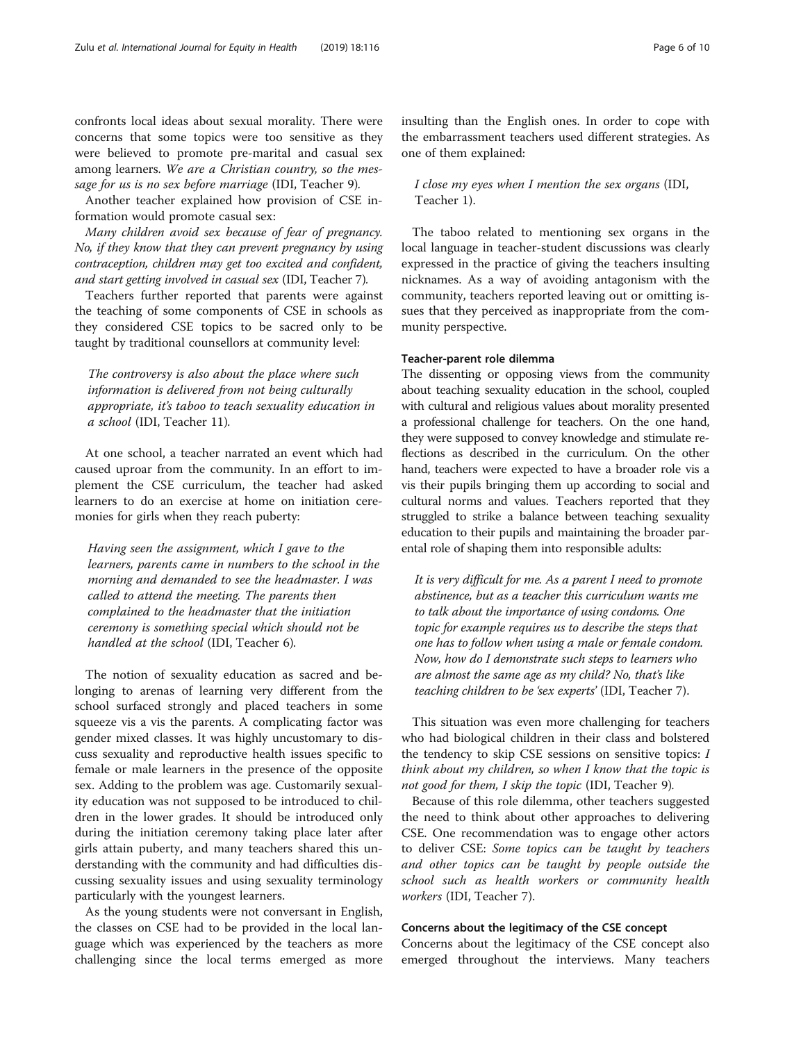confronts local ideas about sexual morality. There were concerns that some topics were too sensitive as they were believed to promote pre-marital and casual sex among learners. We are a Christian country, so the message for us is no sex before marriage (IDI, Teacher 9).

Another teacher explained how provision of CSE information would promote casual sex:

Many children avoid sex because of fear of pregnancy. No, if they know that they can prevent pregnancy by using contraception, children may get too excited and confident, and start getting involved in casual sex (IDI, Teacher 7).

Teachers further reported that parents were against the teaching of some components of CSE in schools as they considered CSE topics to be sacred only to be taught by traditional counsellors at community level:

The controversy is also about the place where such information is delivered from not being culturally appropriate, it's taboo to teach sexuality education in a school (IDI, Teacher 11).

At one school, a teacher narrated an event which had caused uproar from the community. In an effort to implement the CSE curriculum, the teacher had asked learners to do an exercise at home on initiation ceremonies for girls when they reach puberty:

Having seen the assignment, which I gave to the learners, parents came in numbers to the school in the morning and demanded to see the headmaster. I was called to attend the meeting. The parents then complained to the headmaster that the initiation ceremony is something special which should not be handled at the school (IDI, Teacher 6).

The notion of sexuality education as sacred and belonging to arenas of learning very different from the school surfaced strongly and placed teachers in some squeeze vis a vis the parents. A complicating factor was gender mixed classes. It was highly uncustomary to discuss sexuality and reproductive health issues specific to female or male learners in the presence of the opposite sex. Adding to the problem was age. Customarily sexuality education was not supposed to be introduced to children in the lower grades. It should be introduced only during the initiation ceremony taking place later after girls attain puberty, and many teachers shared this understanding with the community and had difficulties discussing sexuality issues and using sexuality terminology particularly with the youngest learners.

As the young students were not conversant in English, the classes on CSE had to be provided in the local language which was experienced by the teachers as more challenging since the local terms emerged as more insulting than the English ones. In order to cope with the embarrassment teachers used different strategies. As one of them explained:

I close my eyes when I mention the sex organs (IDI, Teacher 1).

The taboo related to mentioning sex organs in the local language in teacher-student discussions was clearly expressed in the practice of giving the teachers insulting nicknames. As a way of avoiding antagonism with the community, teachers reported leaving out or omitting issues that they perceived as inappropriate from the community perspective.

#### Teacher-parent role dilemma

The dissenting or opposing views from the community about teaching sexuality education in the school, coupled with cultural and religious values about morality presented a professional challenge for teachers. On the one hand, they were supposed to convey knowledge and stimulate reflections as described in the curriculum. On the other hand, teachers were expected to have a broader role vis a vis their pupils bringing them up according to social and cultural norms and values. Teachers reported that they struggled to strike a balance between teaching sexuality education to their pupils and maintaining the broader parental role of shaping them into responsible adults:

It is very difficult for me. As a parent I need to promote abstinence, but as a teacher this curriculum wants me to talk about the importance of using condoms. One topic for example requires us to describe the steps that one has to follow when using a male or female condom. Now, how do I demonstrate such steps to learners who are almost the same age as my child? No, that's like teaching children to be 'sex experts' (IDI, Teacher 7).

This situation was even more challenging for teachers who had biological children in their class and bolstered the tendency to skip CSE sessions on sensitive topics: I think about my children, so when I know that the topic is not good for them, I skip the topic (IDI, Teacher 9).

Because of this role dilemma, other teachers suggested the need to think about other approaches to delivering CSE. One recommendation was to engage other actors to deliver CSE: Some topics can be taught by teachers and other topics can be taught by people outside the school such as health workers or community health workers (IDI, Teacher 7).

# Concerns about the legitimacy of the CSE concept

Concerns about the legitimacy of the CSE concept also emerged throughout the interviews. Many teachers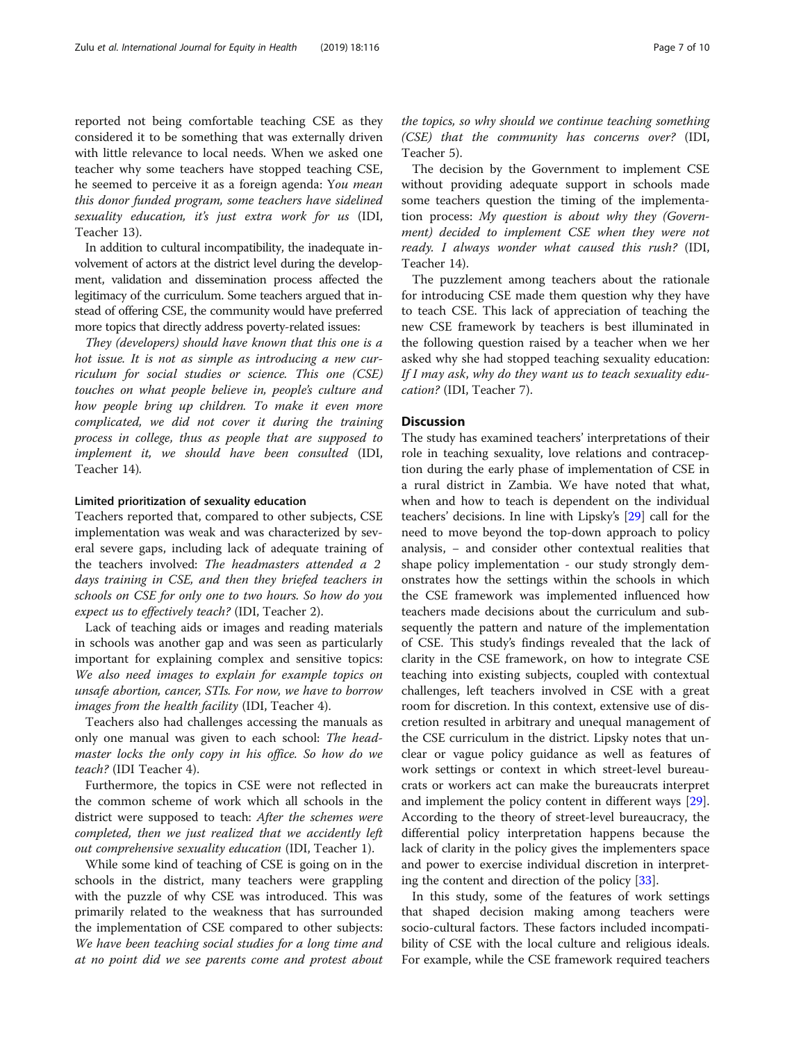reported not being comfortable teaching CSE as they considered it to be something that was externally driven with little relevance to local needs. When we asked one teacher why some teachers have stopped teaching CSE, he seemed to perceive it as a foreign agenda: You mean this donor funded program, some teachers have sidelined sexuality education, it's just extra work for us (IDI, Teacher 13).

In addition to cultural incompatibility, the inadequate involvement of actors at the district level during the development, validation and dissemination process affected the legitimacy of the curriculum. Some teachers argued that instead of offering CSE, the community would have preferred more topics that directly address poverty-related issues:

They (developers) should have known that this one is a hot issue. It is not as simple as introducing a new curriculum for social studies or science. This one (CSE) touches on what people believe in, people's culture and how people bring up children. To make it even more complicated, we did not cover it during the training process in college, thus as people that are supposed to implement it, we should have been consulted (IDI, Teacher 14).

#### Limited prioritization of sexuality education

Teachers reported that, compared to other subjects, CSE implementation was weak and was characterized by several severe gaps, including lack of adequate training of the teachers involved: The headmasters attended a 2 days training in CSE, and then they briefed teachers in schools on CSE for only one to two hours. So how do you expect us to effectively teach? (IDI, Teacher 2).

Lack of teaching aids or images and reading materials in schools was another gap and was seen as particularly important for explaining complex and sensitive topics: We also need images to explain for example topics on unsafe abortion, cancer, STIs. For now, we have to borrow images from the health facility (IDI, Teacher 4).

Teachers also had challenges accessing the manuals as only one manual was given to each school: The headmaster locks the only copy in his office. So how do we teach? (IDI Teacher 4).

Furthermore, the topics in CSE were not reflected in the common scheme of work which all schools in the district were supposed to teach: After the schemes were completed, then we just realized that we accidently left out comprehensive sexuality education (IDI, Teacher 1).

While some kind of teaching of CSE is going on in the schools in the district, many teachers were grappling with the puzzle of why CSE was introduced. This was primarily related to the weakness that has surrounded the implementation of CSE compared to other subjects: We have been teaching social studies for a long time and at no point did we see parents come and protest about the topics, so why should we continue teaching something (CSE) that the community has concerns over? (IDI, Teacher 5).

The decision by the Government to implement CSE without providing adequate support in schools made some teachers question the timing of the implementation process: My question is about why they (Government) decided to implement CSE when they were not ready. I always wonder what caused this rush? (IDI, Teacher 14).

The puzzlement among teachers about the rationale for introducing CSE made them question why they have to teach CSE. This lack of appreciation of teaching the new CSE framework by teachers is best illuminated in the following question raised by a teacher when we her asked why she had stopped teaching sexuality education: If I may ask, why do they want us to teach sexuality education? (IDI, Teacher 7).

#### **Discussion**

The study has examined teachers' interpretations of their role in teaching sexuality, love relations and contraception during the early phase of implementation of CSE in a rural district in Zambia. We have noted that what, when and how to teach is dependent on the individual teachers' decisions. In line with Lipsky's [[29\]](#page-9-0) call for the need to move beyond the top-down approach to policy analysis, – and consider other contextual realities that shape policy implementation - our study strongly demonstrates how the settings within the schools in which the CSE framework was implemented influenced how teachers made decisions about the curriculum and subsequently the pattern and nature of the implementation of CSE. This study's findings revealed that the lack of clarity in the CSE framework, on how to integrate CSE teaching into existing subjects, coupled with contextual challenges, left teachers involved in CSE with a great room for discretion. In this context, extensive use of discretion resulted in arbitrary and unequal management of the CSE curriculum in the district. Lipsky notes that unclear or vague policy guidance as well as features of work settings or context in which street-level bureaucrats or workers act can make the bureaucrats interpret and implement the policy content in different ways [\[29](#page-9-0)]. According to the theory of street-level bureaucracy, the differential policy interpretation happens because the lack of clarity in the policy gives the implementers space and power to exercise individual discretion in interpreting the content and direction of the policy [[33\]](#page-9-0).

In this study, some of the features of work settings that shaped decision making among teachers were socio-cultural factors. These factors included incompatibility of CSE with the local culture and religious ideals. For example, while the CSE framework required teachers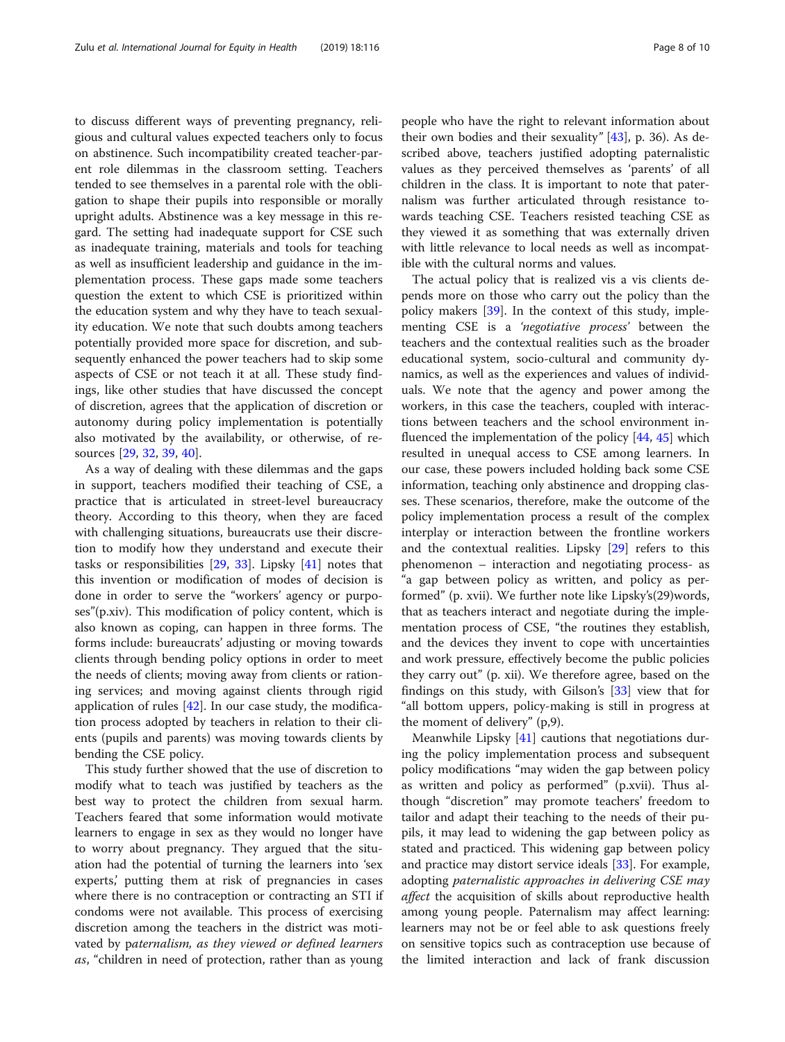to discuss different ways of preventing pregnancy, religious and cultural values expected teachers only to focus on abstinence. Such incompatibility created teacher-parent role dilemmas in the classroom setting. Teachers tended to see themselves in a parental role with the obligation to shape their pupils into responsible or morally upright adults. Abstinence was a key message in this regard. The setting had inadequate support for CSE such as inadequate training, materials and tools for teaching as well as insufficient leadership and guidance in the implementation process. These gaps made some teachers question the extent to which CSE is prioritized within the education system and why they have to teach sexuality education. We note that such doubts among teachers potentially provided more space for discretion, and subsequently enhanced the power teachers had to skip some aspects of CSE or not teach it at all. These study findings, like other studies that have discussed the concept of discretion, agrees that the application of discretion or autonomy during policy implementation is potentially also motivated by the availability, or otherwise, of resources [\[29](#page-9-0), [32,](#page-9-0) [39,](#page-9-0) [40\]](#page-9-0).

As a way of dealing with these dilemmas and the gaps in support, teachers modified their teaching of CSE, a practice that is articulated in street-level bureaucracy theory. According to this theory, when they are faced with challenging situations, bureaucrats use their discretion to modify how they understand and execute their tasks or responsibilities  $[29, 33]$  $[29, 33]$  $[29, 33]$  $[29, 33]$ . Lipsky  $[41]$  $[41]$  notes that this invention or modification of modes of decision is done in order to serve the "workers' agency or purposes"(p.xiv). This modification of policy content, which is also known as coping, can happen in three forms. The forms include: bureaucrats' adjusting or moving towards clients through bending policy options in order to meet the needs of clients; moving away from clients or rationing services; and moving against clients through rigid application of rules  $[42]$  $[42]$  $[42]$ . In our case study, the modification process adopted by teachers in relation to their clients (pupils and parents) was moving towards clients by bending the CSE policy.

This study further showed that the use of discretion to modify what to teach was justified by teachers as the best way to protect the children from sexual harm. Teachers feared that some information would motivate learners to engage in sex as they would no longer have to worry about pregnancy. They argued that the situation had the potential of turning the learners into 'sex experts,' putting them at risk of pregnancies in cases where there is no contraception or contracting an STI if condoms were not available. This process of exercising discretion among the teachers in the district was motivated by paternalism, as they viewed or defined learners as, "children in need of protection, rather than as young people who have the right to relevant information about their own bodies and their sexuality" [[43](#page-9-0)], p. 36). As described above, teachers justified adopting paternalistic values as they perceived themselves as 'parents' of all children in the class. It is important to note that paternalism was further articulated through resistance towards teaching CSE. Teachers resisted teaching CSE as they viewed it as something that was externally driven with little relevance to local needs as well as incompatible with the cultural norms and values.

The actual policy that is realized vis a vis clients depends more on those who carry out the policy than the policy makers [[39](#page-9-0)]. In the context of this study, implementing CSE is a 'negotiative process' between the teachers and the contextual realities such as the broader educational system, socio-cultural and community dynamics, as well as the experiences and values of individuals. We note that the agency and power among the workers, in this case the teachers, coupled with interactions between teachers and the school environment influenced the implementation of the policy [\[44](#page-9-0), [45\]](#page-9-0) which resulted in unequal access to CSE among learners. In our case, these powers included holding back some CSE information, teaching only abstinence and dropping classes. These scenarios, therefore, make the outcome of the policy implementation process a result of the complex interplay or interaction between the frontline workers and the contextual realities. Lipsky [\[29](#page-9-0)] refers to this phenomenon – interaction and negotiating process- as "a gap between policy as written, and policy as performed" (p. xvii). We further note like Lipsky's(29)words, that as teachers interact and negotiate during the implementation process of CSE, "the routines they establish, and the devices they invent to cope with uncertainties and work pressure, effectively become the public policies they carry out" (p. xii). We therefore agree, based on the findings on this study, with Gilson's [\[33](#page-9-0)] view that for "all bottom uppers, policy-making is still in progress at the moment of delivery" (p,9).

Meanwhile Lipsky [\[41\]](#page-9-0) cautions that negotiations during the policy implementation process and subsequent policy modifications "may widen the gap between policy as written and policy as performed" (p.xvii). Thus although "discretion" may promote teachers' freedom to tailor and adapt their teaching to the needs of their pupils, it may lead to widening the gap between policy as stated and practiced. This widening gap between policy and practice may distort service ideals [[33](#page-9-0)]. For example, adopting paternalistic approaches in delivering CSE may affect the acquisition of skills about reproductive health among young people. Paternalism may affect learning: learners may not be or feel able to ask questions freely on sensitive topics such as contraception use because of the limited interaction and lack of frank discussion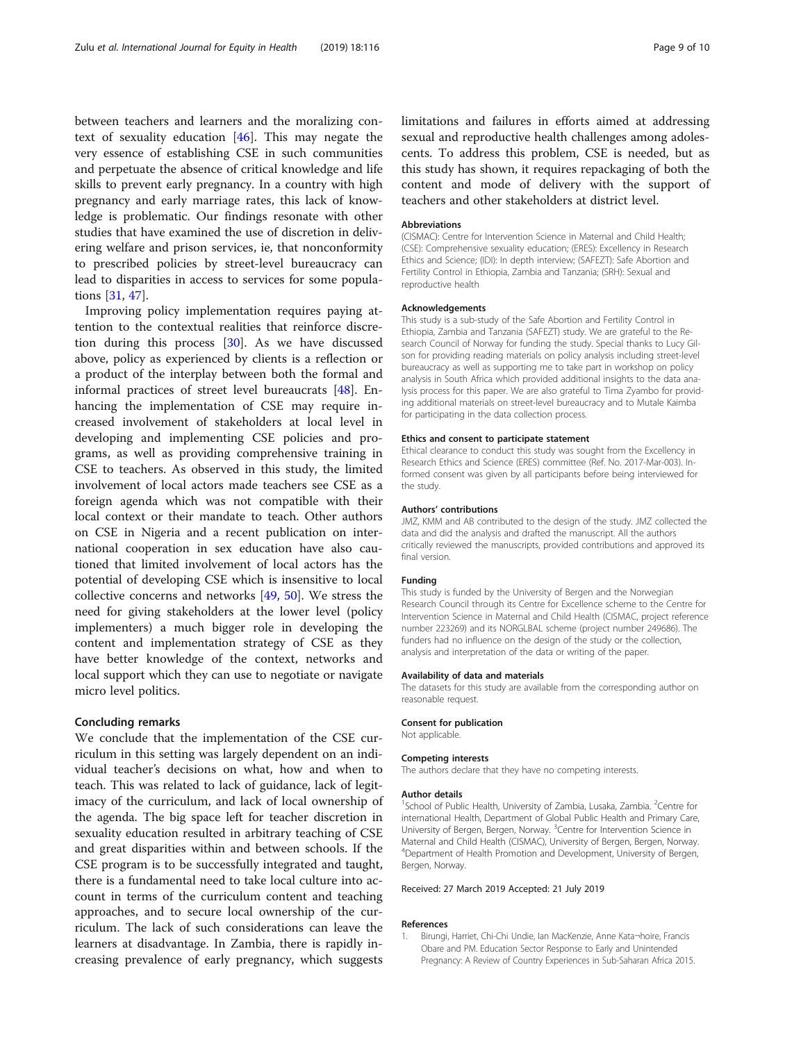<span id="page-8-0"></span>between teachers and learners and the moralizing context of sexuality education [[46\]](#page-9-0). This may negate the very essence of establishing CSE in such communities and perpetuate the absence of critical knowledge and life skills to prevent early pregnancy. In a country with high pregnancy and early marriage rates, this lack of knowledge is problematic. Our findings resonate with other studies that have examined the use of discretion in delivering welfare and prison services, ie, that nonconformity to prescribed policies by street-level bureaucracy can lead to disparities in access to services for some populations [[31,](#page-9-0) [47\]](#page-9-0).

Improving policy implementation requires paying attention to the contextual realities that reinforce discretion during this process  $[30]$  $[30]$ . As we have discussed above, policy as experienced by clients is a reflection or a product of the interplay between both the formal and informal practices of street level bureaucrats [\[48\]](#page-9-0). Enhancing the implementation of CSE may require increased involvement of stakeholders at local level in developing and implementing CSE policies and programs, as well as providing comprehensive training in CSE to teachers. As observed in this study, the limited involvement of local actors made teachers see CSE as a foreign agenda which was not compatible with their local context or their mandate to teach. Other authors on CSE in Nigeria and a recent publication on international cooperation in sex education have also cautioned that limited involvement of local actors has the potential of developing CSE which is insensitive to local collective concerns and networks [\[49](#page-9-0), [50\]](#page-9-0). We stress the need for giving stakeholders at the lower level (policy implementers) a much bigger role in developing the content and implementation strategy of CSE as they have better knowledge of the context, networks and local support which they can use to negotiate or navigate micro level politics.

#### Concluding remarks

We conclude that the implementation of the CSE curriculum in this setting was largely dependent on an individual teacher's decisions on what, how and when to teach. This was related to lack of guidance, lack of legitimacy of the curriculum, and lack of local ownership of the agenda. The big space left for teacher discretion in sexuality education resulted in arbitrary teaching of CSE and great disparities within and between schools. If the CSE program is to be successfully integrated and taught, there is a fundamental need to take local culture into account in terms of the curriculum content and teaching approaches, and to secure local ownership of the curriculum. The lack of such considerations can leave the learners at disadvantage. In Zambia, there is rapidly increasing prevalence of early pregnancy, which suggests

limitations and failures in efforts aimed at addressing sexual and reproductive health challenges among adolescents. To address this problem, CSE is needed, but as this study has shown, it requires repackaging of both the content and mode of delivery with the support of teachers and other stakeholders at district level.

#### Abbreviations

(CISMAC): Centre for Intervention Science in Maternal and Child Health; (CSE): Comprehensive sexuality education; (ERES): Excellency in Research Ethics and Science; (IDI): In depth interview; (SAFEZT): Safe Abortion and Fertility Control in Ethiopia, Zambia and Tanzania; (SRH): Sexual and reproductive health

#### Acknowledgements

This study is a sub-study of the Safe Abortion and Fertility Control in Ethiopia, Zambia and Tanzania (SAFEZT) study. We are grateful to the Research Council of Norway for funding the study. Special thanks to Lucy Gilson for providing reading materials on policy analysis including street-level bureaucracy as well as supporting me to take part in workshop on policy analysis in South Africa which provided additional insights to the data analysis process for this paper. We are also grateful to Tima Zyambo for providing additional materials on street-level bureaucracy and to Mutale Kaimba for participating in the data collection process.

#### Ethics and consent to participate statement

Ethical clearance to conduct this study was sought from the Excellency in Research Ethics and Science (ERES) committee (Ref. No. 2017-Mar-003). Informed consent was given by all participants before being interviewed for the study.

#### Authors' contributions

JMZ, KMM and AB contributed to the design of the study. JMZ collected the data and did the analysis and drafted the manuscript. All the authors critically reviewed the manuscripts, provided contributions and approved its final version.

#### Funding

This study is funded by the University of Bergen and the Norwegian Research Council through its Centre for Excellence scheme to the Centre for Intervention Science in Maternal and Child Health (CISMAC, project reference number 223269) and its NORGLBAL scheme (project number 249686). The funders had no influence on the design of the study or the collection, analysis and interpretation of the data or writing of the paper.

#### Availability of data and materials

The datasets for this study are available from the corresponding author on reasonable request.

#### Consent for publication

Not applicable.

#### Competing interests

The authors declare that they have no competing interests.

#### Author details

<sup>1</sup>School of Public Health, University of Zambia, Lusaka, Zambia. <sup>2</sup>Centre for international Health, Department of Global Public Health and Primary Care, University of Bergen, Bergen, Norway. <sup>3</sup> Centre for Intervention Science in Maternal and Child Health (CISMAC), University of Bergen, Bergen, Norway. 4 Department of Health Promotion and Development, University of Bergen, Bergen, Norway.

Received: 27 March 2019 Accepted: 21 July 2019

#### References

1. Birungi, Harriet, Chi-Chi Undie, Ian MacKenzie, Anne Kata¬hoire, Francis Obare and PM. Education Sector Response to Early and Unintended Pregnancy: A Review of Country Experiences in Sub-Saharan Africa 2015.